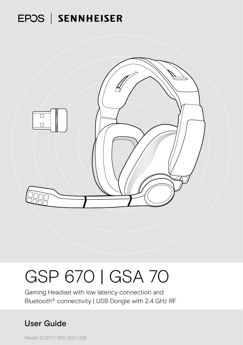## EPOS | SENNHEISER



# GSP 670 | GSA 70

Gaming Headset with low latency connection and Bluetooth® connectivity | USB Dongle with 2.4 GHz RF

### User Guide

Model: SCBT11 | BTD 800 USB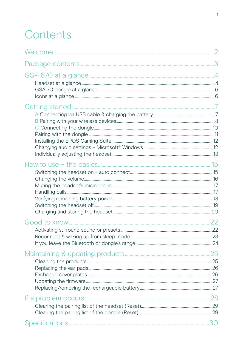## Contents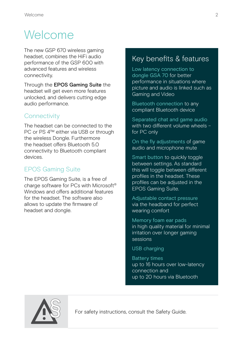## <span id="page-2-0"></span>**Welcome**

The new GSP 670 wireless gaming headset, combines the HiFi audio performance of the GSP 600 with advanced features and wireless connectivity.

Through the **EPOS Gaming Suite** the headset will get even more features unlocked, and delivers cutting edge audio performance.

#### **Connectivity**

The headset can be connected to the PC or PS 4™ either via USB or through the wireless Dongle. Furthermore the headset offers Bluetooth 5.0 connectivity to Bluetooth compliant devices.

#### EPOS Gaming Suite

The EPOS Gaming Suite, is a free of charge software for PCs with Microsoft® Windows and offers additional features for the headset. The software also allows to update the firmware of headset and dongle.

#### Key benefits & features

Low latency connection to dongle GSA 70 for better performance in situations where picture and audio is linked such as Gaming and Video

Bluetooth connection to any compliant Bluetooth device

Separated chat and game audio with two different volume wheels – for PC only

On the fly adjustments of game audio and microphone mute

Smart button to quickly toggle between settings. As standard this will toggle between different profiles in the headset. These profiles can be adjusted in the EPOS Gaming Suite.

Adjustable contact pressure via the headband for perfect wearing comfort

Memory foam ear pads in high quality material for minimal irritation over longer gaming sessions

USB charging

Battery times up to 16 hours over low-latency connection and up to 20 hours via Bluetooth



For safety instructions, consult the Safety Guide.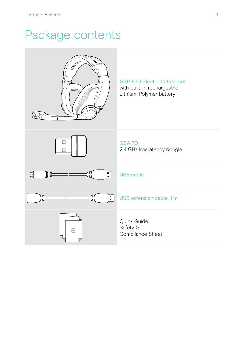## <span id="page-3-0"></span>Package contents

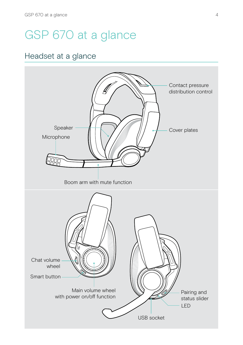## <span id="page-4-0"></span>GSP 670 at a glance

#### Headset at a glance

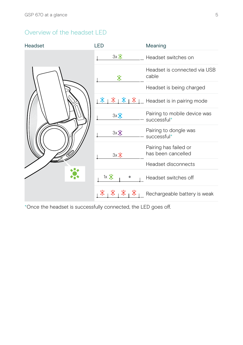#### Overview of the headset LED

| Headset | <b>LED</b>      | Meaning                                                              |
|---------|-----------------|----------------------------------------------------------------------|
|         | $3x$ $\ddot{?}$ | Headset switches on                                                  |
|         | 黨               | Headset is connected via USB<br>cable                                |
|         |                 | Headset is being charged                                             |
|         | 裳               | <u> <sup>家</sup>   <sup>家</sup>   ※  </u> Headset is in pairing mode |
|         | 3x              | Pairing to mobile device was<br>successful*                          |
|         | $3x$ ;          | Pairing to dongle was<br>successful*                                 |
|         | $3x$ $\ddot{?}$ | Pairing has failed or<br>has been cancelled                          |
|         |                 | Headset disconnects                                                  |
|         | $1 \times 3$    | Headset switches off                                                 |
|         |                 | Rechargeable battery is weak                                         |

\*Once the headset is successfully connected, the LED goes off.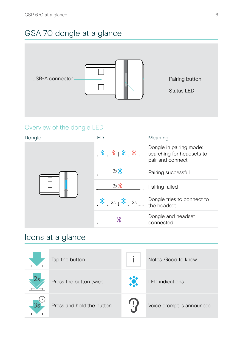## <span id="page-6-0"></span>GSA 70 dongle at a glance



#### Overview of the dongle LED

| Dongle | I FD            | Meaning                                                                  |
|--------|-----------------|--------------------------------------------------------------------------|
|        | 落下落下<br>纂       | Dongle in pairing mode:<br>searching for headsets to<br>pair and connect |
|        | 3x              | Pairing successful                                                       |
|        | $3x$ $\ddot{•}$ | Pairing failed                                                           |
|        | 2s<br>2s        | Dongle tries to connect to<br>the headset                                |
|        | 黨               | Dongle and headset<br>connected                                          |

### Icons at a glance

|    | Tap the button            | Notes: Good to know       |
|----|---------------------------|---------------------------|
|    | Press the button twice    | <b>LED</b> indications    |
| 3s | Press and hold the button | Voice prompt is announced |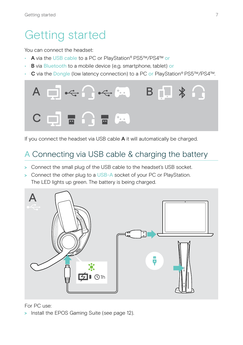## <span id="page-7-0"></span>Getting started

You can connect the headset:

- A via the USB cable to a PC or PlayStation® PS5™/PS4™ or
- B via Bluetooth to a mobile device (e.g. smartphone, tablet) or
- C via the Dongle (low latency connection) to a PC or PlayStation® PS5™/PS4™.



If you connect the headset via USB cable A it will automatically be charged.

### <span id="page-7-1"></span>A Connecting via USB cable & charging the battery

- > Connect the small plug of the USB cable to the headset's USB socket.
- > Connect the other plug to a USB-A socket of your PC or PlayStation. The LED lights up green. The battery is being charged.



#### For PC use:

> Install the EPOS Gaming Suite (see page [12](#page-12-1)).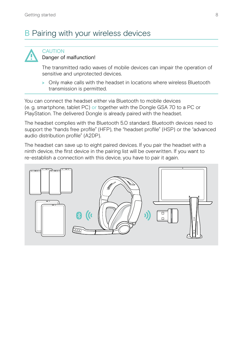### <span id="page-8-1"></span><span id="page-8-0"></span>**B** Pairing with your wireless devices



#### **CAUTION** Danger of malfunction!

The transmitted radio waves of mobile devices can impair the operation of sensitive and unprotected devices.

> Only make calls with the headset in locations where wireless Bluetooth transmission is permitted.

You can connect the headset either via Bluetooth to mobile devices (e. g. smartphone, tablet PC) or together with the Dongle GSA 70 to a PC or PlayStation. The delivered Dongle is already paired with the headset.

The headset complies with the Bluetooth 5.0 standard. Bluetooth devices need to support the "hands free profile" (HFP), the "headset profile" (HSP) or the "advanced audio distribution profile" (A2DP).

The headset can save up to eight paired devices. If you pair the headset with a ninth device, the first device in the pairing list will be overwritten. If you want to re-establish a connection with this device, you have to pair it again.

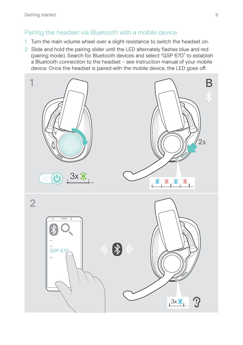#### Pairing the headset via Bluetooth with a mobile device

- 1 Turn the main volume wheel over a slight resistance to switch the headset on.
- 2 Slide and hold the pairing slider until the LED alternately flashes blue and red (pairing mode). Search for Bluetooth devices and select "GSP 670" to establish a Bluetooth connection to the headset – see instruction manual of your mobile device. Once the headset is paired with the mobile device, the LED goes off.

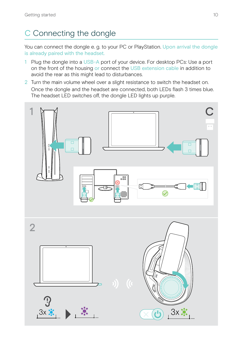## <span id="page-10-1"></span><span id="page-10-0"></span>C Connecting the dongle

You can connect the dongle e. g. to your PC or PlayStation. Upon arrival the dongle is already paired with the headset.

- 1 Plug the dongle into a USB-A port of your device. For desktop PCs: Use a port on the front of the housing or connect the USB extension cable in addition to avoid the rear as this might lead to disturbances.
- 2 Turn the main volume wheel over a slight resistance to switch the headset on. Once the dongle and the headset are connected, both LEDs flash 3 times blue. The headset LED switches off, the dongle LED lights up purple.

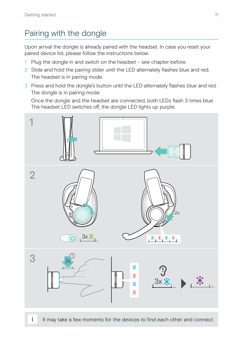### <span id="page-11-1"></span><span id="page-11-0"></span>Pairing with the dongle

Upon arrival the dongle is already paired with the headset. In case you reset your paired device list, please follow the instructions below.

- 1 Plug the dongle in and switch on the headset see chapter before.
- 2 Slide and hold the pairing slider until the LED alternately flashes blue and red. The headset is in pairing mode.
- 3 Press and hold the dongle's button until the LED alternately flashes blue and red. The dongle is in pairing mode.

Once the dongle and the headset are connected, both LEDs flash 3 times blue. The headset LED switches off, the dongle LED lights up purple.



It may take a few moments for the devices to find each other and connect.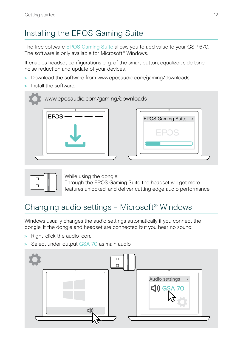## <span id="page-12-1"></span><span id="page-12-0"></span>Installing the EPOS Gaming Suite

The free software EPOS Gaming Suite allows you to add value to your GSP 670. The software is only available for Microsoft® Windows.

It enables headset configurations e. g. of the smart button, equalizer, side tone, noise reduction and update of your devices.

- > Download the software from www.eposaudio.com/gaming/downloads.
- > Install the software.





While using the dongle: Through the EPOS Gaming Suite the headset will get more features unlocked, and deliver cutting edge audio performance.

### <span id="page-12-2"></span>Changing audio settings – Microsoft® Windows

Windows usually changes the audio settings automatically if you connect the dongle. If the dongle and headset are connected but you hear no sound:

- > Right-click the audio icon.
- > Select under output GSA 70 as main audio.

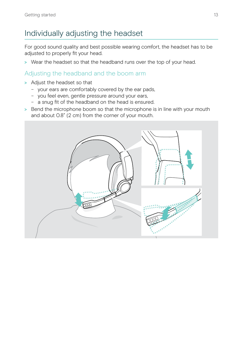### <span id="page-13-0"></span>Individually adjusting the headset

For good sound quality and best possible wearing comfort, the headset has to be adjusted to properly fit your head.

> Wear the headset so that the headband runs over the top of your head.

#### Adjusting the headband and the boom arm

- > Adjust the headset so that
	- your ears are comfortably covered by the ear pads,
	- you feel even, gentle pressure around your ears,
	- a snug fit of the headband on the head is ensured.
- > Bend the microphone boom so that the microphone is in line with your mouth and about 0.8" (2 cm) from the corner of your mouth.

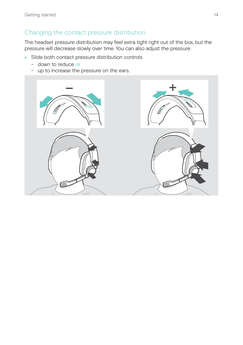#### Changing the contact pressure distribution

The headset pressure distribution may feel extra tight right out of the box, but the pressure will decrease slowly over time. You can also adjust the pressure:

- > Slide both contact pressure distribution controls
	- down to reduce or
	- up to increase the pressure on the ears.

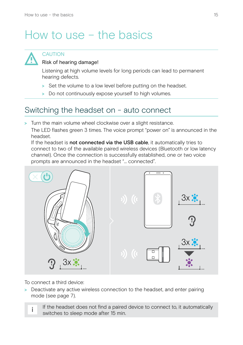## <span id="page-15-0"></span>How to use – the basics



#### **CAUTION**

#### Risk of hearing damage!

Listening at high volume levels for long periods can lead to permanent hearing defects.

- > Set the volume to a low level before putting on the headset.
- > Do not continuously expose yourself to high volumes.

#### <span id="page-15-1"></span>Switching the headset on - auto connect

> Turn the main volume wheel clockwise over a slight resistance.

The LED flashes green 3 times. The voice prompt "power on" is announced in the headset.

If the headset is not connected via the USB cable, it automatically tries to connect to two of the available paired wireless devices (Bluetooth or low latency channel). Once the connection is successfully established, one or two voice prompts are announced in the headset "... connected".



To connect a third device:

> Deactivate any active wireless connection to the headset, and enter pairing mode (see page [7\)](#page-7-1).

If the headset does not find a paired device to connect to, it automatically switches to sleep mode after 15 min.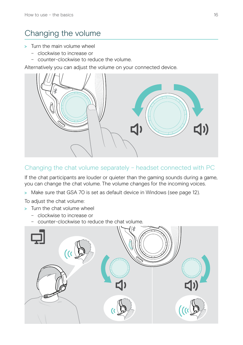### <span id="page-16-1"></span><span id="page-16-0"></span>Changing the volume

- > Turn the main volume wheel
	- clockwise to increase or
	- counter-clockwise to reduce the volume.

Alternatively you can adjust the volume on your connected device.



#### Changing the chat volume separately – headset connected with PC

If the chat participants are louder or quieter than the gaming sounds during a game, you can change the chat volume. The volume changes for the incoming voices.

> Make sure that GSA 70 is set as default device in Windows (see page [12\)](#page-12-2).

To adjust the chat volume:

- > Turn the chat volume wheel
	- clockwise to increase or
	- counter-clockwise to reduce the chat volume.

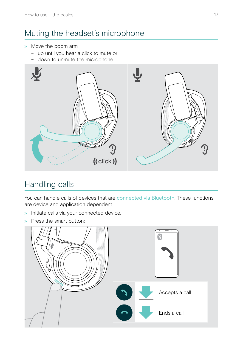### <span id="page-17-0"></span>Muting the headset's microphone

- > Move the boom arm
	- up until you hear a click to mute or
	- down to unmute the microphone.



#### Handling calls

You can handle calls of devices that are connected via Bluetooth. These functions are device and application dependent.

- > Initiate calls via your connected device.
- > Press the smart button:

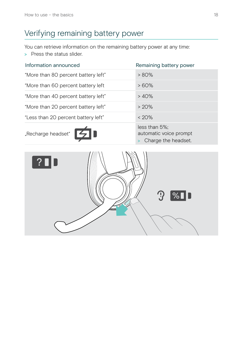## <span id="page-18-0"></span>Verifying remaining battery power

You can retrieve information on the remaining battery power at any time:

> Press the status slider.

| Information announced               | Remaining battery power                                            |
|-------------------------------------|--------------------------------------------------------------------|
| "More than 80 percent battery left" | $> 80\%$                                                           |
| "More than 60 percent battery left  | $>60\%$                                                            |
| "More than 40 percent battery left" | >40%                                                               |
| "More than 20 percent battery left" | >20%                                                               |
| "Less than 20 percent battery left" | $< 20\%$                                                           |
| "Recharge headset"                  | $less than 5\%$ :<br>automatic voice prompt<br>Charge the headset. |

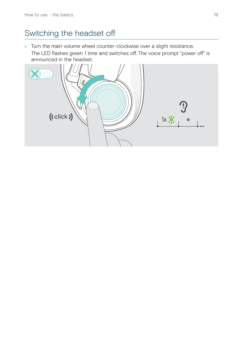#### <span id="page-19-1"></span><span id="page-19-0"></span>Switching the headset off

> Turn the main volume wheel counter-clockwise over a slight resistance. The LED flashes green 1 time and switches off. The voice prompt "power off" is announced in the headset.

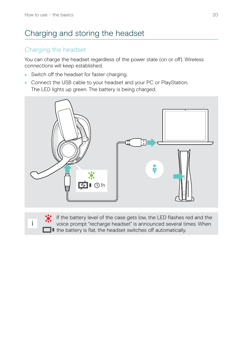### <span id="page-20-1"></span><span id="page-20-0"></span>Charging and storing the headset

#### Charging the headset

You can charge the headset regardless of the power state (on or off). Wireless connections will keep established.

- > Switch off the headset for faster charging.
- > Connect the USB cable to your headset and your PC or PlayStation. The LED lights up green. The battery is being charged.





If the battery level of the case gets low, the LED flashes red and the voice prompt "recharge headset" is announced several times. When If the battery is flat, the headset switches off automatically.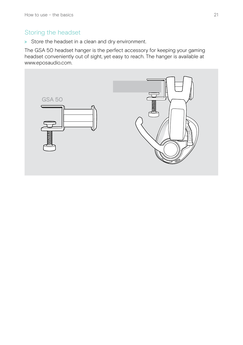#### Storing the headset

> Store the headset in a clean and dry environment.

The GSA 50 headset hanger is the perfect accessory for keeping your gaming headset conveniently out of sight, yet easy to reach. The hanger is available at www.eposaudio.com.

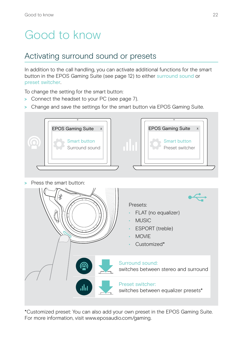## <span id="page-22-0"></span>Good to know

#### Activating surround sound or presets

In addition to the call handling, you can activate additional functions for the smart button in the EPOS Gaming Suite (see page [12](#page-12-1)) to either surround sound or preset switcher.

To change the setting for the smart button:

- > Connect the headset to your PC (see page [7](#page-7-1)).
- > Change and save the settings for the smart button via EPOS Gaming Suite.



- MOVIE
- Customized\*



\*Customized preset: You can also add your own preset in the EPOS Gaming Suite. For more information, visit www.eposaudio.com/gaming.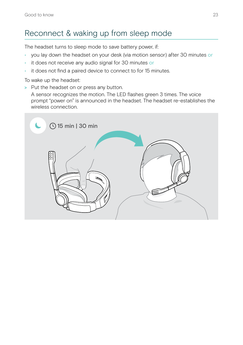### <span id="page-23-0"></span>Reconnect & waking up from sleep mode

The headset turns to sleep mode to save battery power, if:

- you lay down the headset on your desk (via motion sensor) after 30 minutes or
- it does not receive any audio signal for 30 minutes or
- it does not find a paired device to connect to for 15 minutes.

To wake up the headset:

> Put the headset on or press any button.

A sensor recognizes the motion. The LED flashes green 3 times. The voice prompt "power on" is announced in the headset. The headset re-establishes the wireless connection.

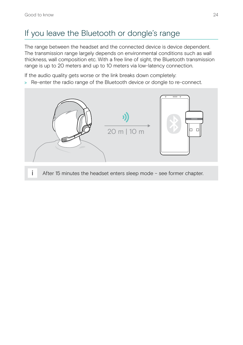### <span id="page-24-0"></span>If you leave the Bluetooth or dongle's range

The range between the headset and the connected device is device dependent. The transmission range largely depends on environmental conditions such as wall thickness, wall composition etc. With a free line of sight, the Bluetooth transmission range is up to 20 meters and up to 10 meters via low-latency connection.

If the audio quality gets worse or the link breaks down completely:

> Re-enter the radio range of the Bluetooth device or dongle to re-connect.



After 15 minutes the headset enters sleep mode – see former chapter.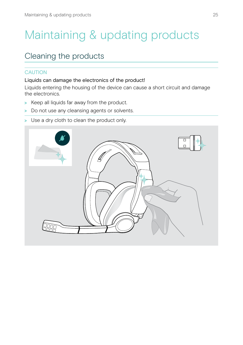## <span id="page-25-0"></span>Maintaining & updating products

#### Cleaning the products

#### **CAUTION**

#### Liquids can damage the electronics of the product!

Liquids entering the housing of the device can cause a short circuit and damage the electronics.

- > Keep all liquids far away from the product.
- > Do not use any cleansing agents or solvents.
- > Use a dry cloth to clean the product only.

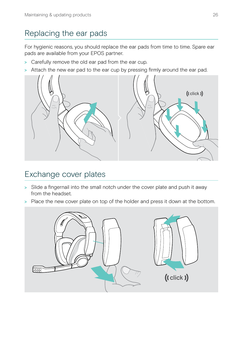### <span id="page-26-0"></span>Replacing the ear pads

For hygienic reasons, you should replace the ear pads from time to time. Spare ear pads are available from your EPOS partner.

- > Carefully remove the old ear pad from the ear cup.
- > Attach the new ear pad to the ear cup by pressing firmly around the ear pad.



#### Exchange cover plates

- > Slide a fingernail into the small notch under the cover plate and push it away from the headset.
- > Place the new cover plate on top of the holder and press it down at the bottom.

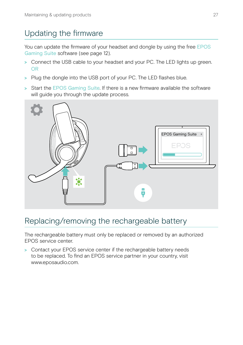### <span id="page-27-0"></span>Updating the firmware

You can update the firmware of your headset and dongle by using the free EPOS Gaming Suite software (see page [12](#page-12-1)).

- > Connect the USB cable to your headset and your PC. The LED lights up green. OR
- > Plug the dongle into the USB port of your PC. The LED flashes blue.
- > Start the EPOS Gaming Suite. If there is a new firmware available the software will quide you through the update process.



### Replacing/removing the rechargeable battery

The rechargeable battery must only be replaced or removed by an authorized EPOS service center.

> Contact your EPOS service center if the rechargeable battery needs to be replaced. To find an EPOS service partner in your country, visit www.eposaudio.com.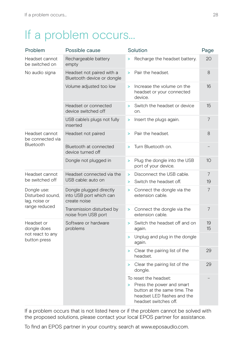## <span id="page-28-0"></span>If a problem occurs...

| Problem                                                           | Possible cause                                                     |        | Solution                                                                                                                                   | Page     |
|-------------------------------------------------------------------|--------------------------------------------------------------------|--------|--------------------------------------------------------------------------------------------------------------------------------------------|----------|
| Headset cannot<br>be switched on                                  | Rechargeable battery<br>empty                                      |        | Recharge the headset battery.                                                                                                              | 20       |
| No audio signa                                                    | Headset not paired with a<br>Bluetooth device or dongle            | >      | Pair the headset.                                                                                                                          | 8        |
|                                                                   | Volume adjusted too low                                            | >      | Increase the volume on the<br>headset or your connected<br>device.                                                                         | 16       |
|                                                                   | Headset or connected<br>device switched off                        | ×      | Switch the headset or device<br>on.                                                                                                        | 15       |
|                                                                   | USB cable's plugs not fully<br>inserted                            | >      | Insert the plugs again.                                                                                                                    | 7        |
| Headset cannot<br>be connected via                                | Headset not paired                                                 | s      | Pair the headset.                                                                                                                          | 8        |
| Bluetooth                                                         | Bluetooth at connected<br>device turned off                        | >      | Turn Bluetooth on.                                                                                                                         |          |
|                                                                   | Dongle not plugged in                                              | ×      | Plug the dongle into the USB<br>port of your device.                                                                                       | 10       |
| Headset cannot<br>be switched off                                 | Headset connected via the<br>USB cable: auto on                    | ><br>> | Disconnect the USB cable.<br>Switch the headset off.                                                                                       | 7<br>19  |
| Dongle use:<br>Disturbed sound,<br>lag, noise or<br>range reduced | Dongle plugged directly<br>into USB port which can<br>create noise | >      | Connect the dongle via the<br>extension cable.                                                                                             | 7        |
|                                                                   | Transmission disturbed by<br>noise from USB port                   | ×      | Connect the dongle via the<br>extension cable.                                                                                             | 7        |
| Headset or<br>dongle does<br>not react to any<br>button press     | Software or hardware<br>problems                                   | ×      | Switch the headset off and on<br>again.                                                                                                    | 19<br>15 |
|                                                                   |                                                                    |        | > Unplug and plug in the dongle<br>again.                                                                                                  |          |
|                                                                   |                                                                    | >      | Clear the pairing list of the<br>headset.                                                                                                  | 29       |
|                                                                   |                                                                    | >      | Clear the pairing list of the<br>dongle.                                                                                                   | 29       |
|                                                                   |                                                                    | ≻      | To reset the headset:<br>Press the power and smart<br>button at the same time. The<br>headset LED flashes and the<br>headset switches off. |          |

If a problem occurs that is not listed here or if the problem cannot be solved with the proposed solutions, please contact your local EPOS partner for assistance.

To find an EPOS partner in your country, search at www.eposaudio.com.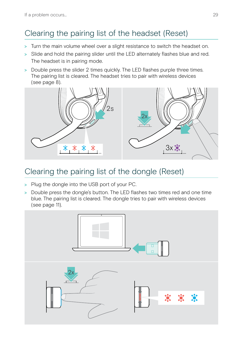## <span id="page-29-1"></span><span id="page-29-0"></span>Clearing the pairing list of the headset (Reset)

- > Turn the main volume wheel over a slight resistance to switch the headset on.
- > Slide and hold the pairing slider until the LED alternately flashes blue and red. The headset is in pairing mode.
- > Double press the slider 2 times quickly. The LED flashes purple three times. The pairing list is cleared. The headset tries to pair with wireless devices (see page [8\)](#page-8-1).



### <span id="page-29-2"></span>Clearing the pairing list of the dongle (Reset)

- > Plug the dongle into the USB port of your PC.
- > Double press the dongle's button. The LED flashes two times red and one time blue. The pairing list is cleared. The dongle tries to pair with wireless devices (see page [11\)](#page-11-1).

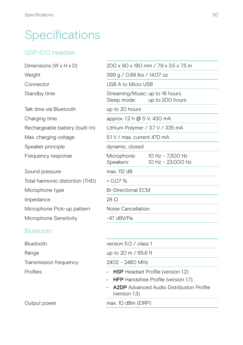## <span id="page-30-0"></span>Specifications

#### GSP 670 headset

| Dimensions (W x H x D)          | 200 x 90 x 190 mm / 7.9 x 3.5 x 7.5 in                            |  |
|---------------------------------|-------------------------------------------------------------------|--|
| Weight                          | 399 g / 0.88 lbs / 14.07 oz                                       |  |
| Connector                       | USB A to Micro USB                                                |  |
| Standby time                    | Streaming/Music: up to 16 hours<br>Sleep mode:<br>up to 200 hours |  |
| Talk time via Bluetooth         | up to 20 hours                                                    |  |
| Charging time                   | approx. 1.2 h @ 5 V, 430 mA                                       |  |
| Rechargeable battery (built-in) | Lithium Polymer / 3.7 V / 335 mA                                  |  |
| Max. charging voltage           | 5.1 V / max. current 470 mA                                       |  |
| Speaker principle               | dynamic, closed                                                   |  |
| Frequency response              | Microphone:<br>10 Hz - 7,300 Hz<br>Speakers:<br>10 Hz - 23,000 Hz |  |
| Sound pressure                  | max. 112 dB                                                       |  |
| Total harmonic distortion (THD) | $<$ 0.07 %                                                        |  |
| Microphone type                 | <b>Bi-Directional ECM</b>                                         |  |
| Impedance                       | $28 \Omega$                                                       |  |
| Microphone Pick-up pattern      | Noise Cancellation                                                |  |
| Microphone Sensitivity          | -47 dBV/Pa                                                        |  |
| <b>Bluetooth</b>                |                                                                   |  |
| Bluetooth                       | version 5.0 / class 1                                             |  |
| Range                           | up to 20 m / 65.6 ft                                              |  |

Transmission frequency 2402 – 2480 MHz

- Profiles HSP Headset Profile (version 1.2)
	- HFP Handsfree Profile (version 1.7)
	- A2DP Advanced Audio Distribution Profile (version 1.3)

#### Output power max. 10 dBm (EIRP)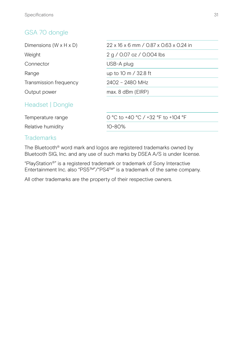#### GSA 70 dongle

| Dimensions $(W \times H \times D)$ | 22 x 16 x 6 mm / 0.87 x 0.63 x 0.24 in |
|------------------------------------|----------------------------------------|
| Weight                             | 2 g / 0.07 oz / 0.004 lbs              |
| Connector                          | USB-A plug                             |
| Range                              | up to 10 m / 32.8 ft                   |
| Transmission frequency             | 2402 - 2480 MHz                        |
| Output power                       | $max. 8$ dBm (EIRP)                    |
| Headset   Dongle                   |                                        |
| Temperature range                  | 0 °C to +40 °C / +32 °F to +104 °F     |
| Relative humidity                  | 10~80%                                 |

#### **Trademarks**

The Bluetooth® word mark and logos are registered trademarks owned by Bluetooth SIG, Inc. and any use of such marks by DSEA A/S is under license.

"PlayStation®" is a registered trademark or trademark of Sony Interactive Entertainment Inc. also "PS5™"/"PS4™" is a trademark of the same company.

All other trademarks are the property of their respective owners.